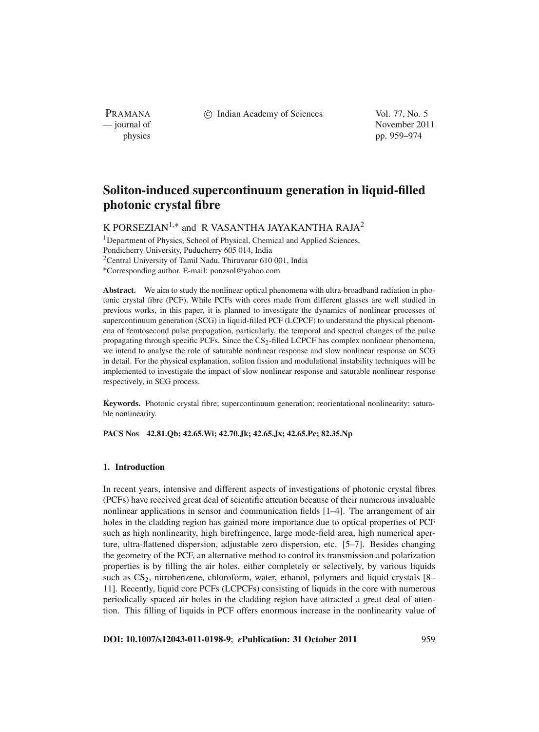PRAMANA

c Indian Academy of Sciences Vol. 77, No. 5

— journal of November 2011 physics pp. 959–974

# **Soliton-induced supercontinuum generation in liquid-filled photonic crystal fibre**

K PORSEZIAN<sup>1,\*</sup> and R VASANTHA JAYAKANTHA RAJA<sup>2</sup>

<sup>1</sup>Department of Physics, School of Physical, Chemical and Applied Sciences, Pondicherry University, Puducherry 605 014, India  $2$ Central University of Tamil Nadu, Thiruvarur 610 001, India <sup>∗</sup>Corresponding author. E-mail: ponzsol@yahoo.com

**Abstract.** We aim to study the nonlinear optical phenomena with ultra-broadband radiation in photonic crystal fibre (PCF). While PCFs with cores made from different glasses are well studied in previous works, in this paper, it is planned to investigate the dynamics of nonlinear processes of supercontinuum generation (SCG) in liquid-filled PCF (LCPCF) to understand the physical phenomena of femtosecond pulse propagation, particularly, the temporal and spectral changes of the pulse propagating through specific PCFs. Since the CS2-filled LCPCF has complex nonlinear phenomena, we intend to analyse the role of saturable nonlinear response and slow nonlinear response on SCG in detail. For the physical explanation, soliton fission and modulational instability techniques will be implemented to investigate the impact of slow nonlinear response and saturable nonlinear response respectively, in SCG process.

**Keywords.** Photonic crystal fibre; supercontinuum generation; reorientational nonlinearity; saturable nonlinearity.

**PACS Nos 42.81.Qb; 42.65.Wi; 42.70.Jk; 42.65.Jx; 42.65.Pc; 82.35.Np**

# **1. Introduction**

In recent years, intensive and different aspects of investigations of photonic crystal fibres (PCFs) have received great deal of scientific attention because of their numerous invaluable nonlinear applications in sensor and communication fields [1–4]. The arrangement of air holes in the cladding region has gained more importance due to optical properties of PCF such as high nonlinearity, high birefringence, large mode-field area, high numerical aperture, ultra-flattened dispersion, adjustable zero dispersion, etc. [5–7]. Besides changing the geometry of the PCF, an alternative method to control its transmission and polarization properties is by filling the air holes, either completely or selectively, by various liquids such as  $CS_2$ , nitrobenzene, chloroform, water, ethanol, polymers and liquid crystals  $[8-$ 11]. Recently, liquid core PCFs (LCPCFs) consisting of liquids in the core with numerous periodically spaced air holes in the cladding region have attracted a great deal of attention. This filling of liquids in PCF offers enormous increase in the nonlinearity value of

**DOI: 10.1007/s12043-011-0198-9**; *e***Publication: 31 October 2011** 959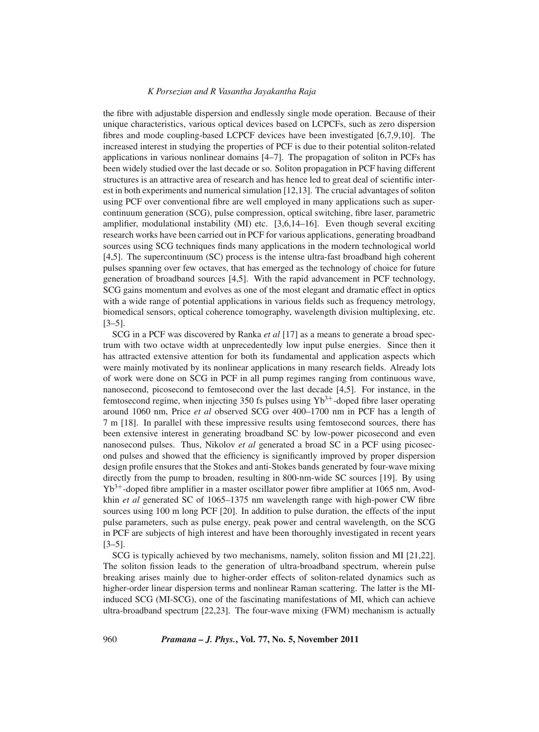the fibre with adjustable dispersion and endlessly single mode operation. Because of their unique characteristics, various optical devices based on LCPCFs, such as zero dispersion fibres and mode coupling-based LCPCF devices have been investigated [6,7,9,10]. The increased interest in studying the properties of PCF is due to their potential soliton-related applications in various nonlinear domains [4–7]. The propagation of soliton in PCFs has been widely studied over the last decade or so. Soliton propagation in PCF having different structures is an attractive area of research and has hence led to great deal of scientific interest in both experiments and numerical simulation [12,13]. The crucial advantages of soliton using PCF over conventional fibre are well employed in many applications such as supercontinuum generation (SCG), pulse compression, optical switching, fibre laser, parametric amplifier, modulational instability  $(MI)$  etc.  $[3,6,14-16]$ . Even though several exciting research works have been carried out in PCF for various applications, generating broadband sources using SCG techniques finds many applications in the modern technological world [4,5]. The supercontinuum (SC) process is the intense ultra-fast broadband high coherent pulses spanning over few octaves, that has emerged as the technology of choice for future generation of broadband sources [4,5]. With the rapid advancement in PCF technology, SCG gains momentum and evolves as one of the most elegant and dramatic effect in optics with a wide range of potential applications in various fields such as frequency metrology, biomedical sensors, optical coherence tomography, wavelength division multiplexing, etc.  $[3-5]$ .

SCG in a PCF was discovered by Ranka *et al* [17] as a means to generate a broad spectrum with two octave width at unprecedentedly low input pulse energies. Since then it has attracted extensive attention for both its fundamental and application aspects which were mainly motivated by its nonlinear applications in many research fields. Already lots of work were done on SCG in PCF in all pump regimes ranging from continuous wave, nanosecond, picosecond to femtosecond over the last decade [4,5]. For instance, in the femtosecond regime, when injecting 350 fs pulses using  $Yb^{3+}$ -doped fibre laser operating around 1060 nm, Price *et al* observed SCG over 400–1700 nm in PCF has a length of 7 m [18]. In parallel with these impressive results using femtosecond sources, there has been extensive interest in generating broadband SC by low-power picosecond and even nanosecond pulses. Thus, Nikolov *et al* generated a broad SC in a PCF using picosecond pulses and showed that the efficiency is significantly improved by proper dispersion design profile ensures that the Stokes and anti-Stokes bands generated by four-wave mixing directly from the pump to broaden, resulting in 800-nm-wide SC sources [19]. By using  $Yb^{3+}$ -doped fibre amplifier in a master oscillator power fibre amplifier at 1065 nm, Avodkhin *et al* generated SC of 1065–1375 nm wavelength range with high-power CW fibre sources using 100 m long PCF [20]. In addition to pulse duration, the effects of the input pulse parameters, such as pulse energy, peak power and central wavelength, on the SCG in PCF are subjects of high interest and have been thoroughly investigated in recent years [3–5].

SCG is typically achieved by two mechanisms, namely, soliton fission and MI [21,22]. The soliton fission leads to the generation of ultra-broadband spectrum, wherein pulse breaking arises mainly due to higher-order effects of soliton-related dynamics such as higher-order linear dispersion terms and nonlinear Raman scattering. The latter is the MIinduced SCG (MI-SCG), one of the fascinating manifestations of MI, which can achieve ultra-broadband spectrum [22,23]. The four-wave mixing (FWM) mechanism is actually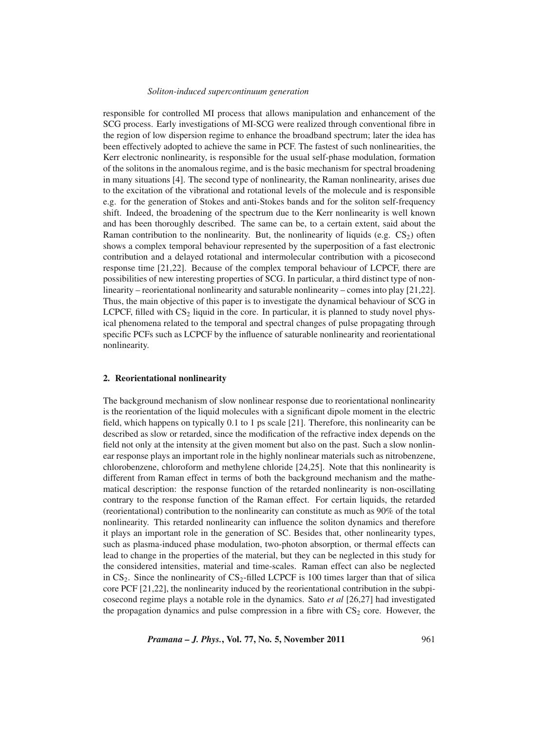responsible for controlled MI process that allows manipulation and enhancement of the SCG process. Early investigations of MI-SCG were realized through conventional fibre in the region of low dispersion regime to enhance the broadband spectrum; later the idea has been effectively adopted to achieve the same in PCF. The fastest of such nonlinearities, the Kerr electronic nonlinearity, is responsible for the usual self-phase modulation, formation of the solitons in the anomalous regime, and is the basic mechanism for spectral broadening in many situations [4]. The second type of nonlinearity, the Raman nonlinearity, arises due to the excitation of the vibrational and rotational levels of the molecule and is responsible e.g. for the generation of Stokes and anti-Stokes bands and for the soliton self-frequency shift. Indeed, the broadening of the spectrum due to the Kerr nonlinearity is well known and has been thoroughly described. The same can be, to a certain extent, said about the Raman contribution to the nonlinearity. But, the nonlinearity of liquids (e.g.  $CS_2$ ) often shows a complex temporal behaviour represented by the superposition of a fast electronic contribution and a delayed rotational and intermolecular contribution with a picosecond response time [21,22]. Because of the complex temporal behaviour of LCPCF, there are possibilities of new interesting properties of SCG. In particular, a third distinct type of nonlinearity – reorientational nonlinearity and saturable nonlinearity – comes into play [21,22]. Thus, the main objective of this paper is to investigate the dynamical behaviour of SCG in LCPCF, filled with  $CS_2$  liquid in the core. In particular, it is planned to study novel physical phenomena related to the temporal and spectral changes of pulse propagating through specific PCFs such as LCPCF by the influence of saturable nonlinearity and reorientational nonlinearity.

## **2. Reorientational nonlinearity**

The background mechanism of slow nonlinear response due to reorientational nonlinearity is the reorientation of the liquid molecules with a significant dipole moment in the electric field, which happens on typically 0.1 to 1 ps scale [21]. Therefore, this nonlinearity can be described as slow or retarded, since the modification of the refractive index depends on the field not only at the intensity at the given moment but also on the past. Such a slow nonlinear response plays an important role in the highly nonlinear materials such as nitrobenzene, chlorobenzene, chloroform and methylene chloride [24,25]. Note that this nonlinearity is different from Raman effect in terms of both the background mechanism and the mathematical description: the response function of the retarded nonlinearity is non-oscillating contrary to the response function of the Raman effect. For certain liquids, the retarded (reorientational) contribution to the nonlinearity can constitute as much as 90% of the total nonlinearity. This retarded nonlinearity can influence the soliton dynamics and therefore it plays an important role in the generation of SC. Besides that, other nonlinearity types, such as plasma-induced phase modulation, two-photon absorption, or thermal effects can lead to change in the properties of the material, but they can be neglected in this study for the considered intensities, material and time-scales. Raman effect can also be neglected in  $CS_2$ . Since the nonlinearity of  $CS_2$ -filled LCPCF is 100 times larger than that of silica core PCF [21,22], the nonlinearity induced by the reorientational contribution in the subpicosecond regime plays a notable role in the dynamics. Sato *et al* [26,27] had investigated the propagation dynamics and pulse compression in a fibre with  $CS<sub>2</sub>$  core. However, the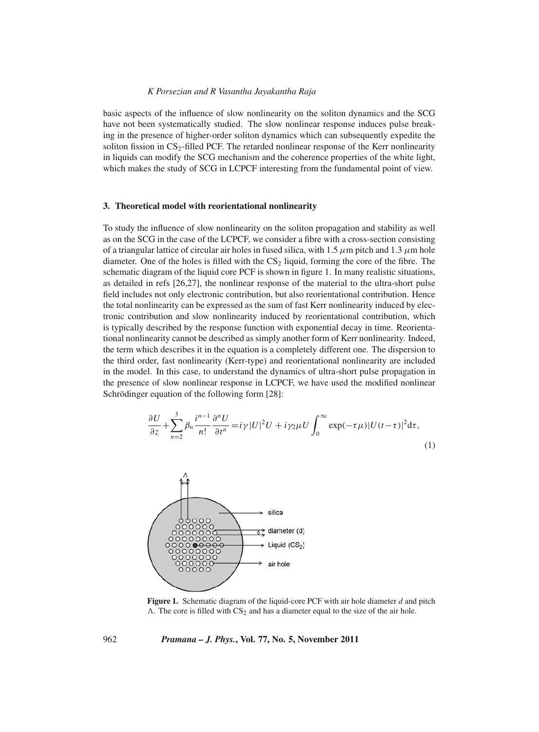basic aspects of the influence of slow nonlinearity on the soliton dynamics and the SCG have not been systematically studied. The slow nonlinear response induces pulse breaking in the presence of higher-order soliton dynamics which can subsequently expedite the soliton fission in  $CS_2$ -filled PCF. The retarded nonlinear response of the Kerr nonlinearity in liquids can modify the SCG mechanism and the coherence properties of the white light, which makes the study of SCG in LCPCF interesting from the fundamental point of view.

#### **3. Theoretical model with reorientational nonlinearity**

To study the influence of slow nonlinearity on the soliton propagation and stability as well as on the SCG in the case of the LCPCF, we consider a fibre with a cross-section consisting of a triangular lattice of circular air holes in fused silica, with 1.5  $\mu$ m pitch and 1.3  $\mu$ m hole diameter. One of the holes is filled with the  $CS_2$  liquid, forming the core of the fibre. The schematic diagram of the liquid core PCF is shown in figure 1. In many realistic situations, as detailed in refs [26,27], the nonlinear response of the material to the ultra-short pulse field includes not only electronic contribution, but also reorientational contribution. Hence the total nonlinearity can be expressed as the sum of fast Kerr nonlinearity induced by electronic contribution and slow nonlinearity induced by reorientational contribution, which is typically described by the response function with exponential decay in time. Reorientational nonlinearity cannot be described as simply another form of Kerr nonlinearity. Indeed, the term which describes it in the equation is a completely different one. The dispersion to the third order, fast nonlinearity (Kerr-type) and reorientational nonlinearity are included in the model. In this case, to understand the dynamics of ultra-short pulse propagation in the presence of slow nonlinear response in LCPCF, we have used the modified nonlinear Schrödinger equation of the following form [28]:

$$
\frac{\partial U}{\partial z} + \sum_{n=2}^{3} \beta_n \frac{i^{n-1}}{n!} \frac{\partial^n U}{\partial t^n} = i\gamma |U|^2 U + i\gamma_2 \mu U \int_0^\infty \exp(-\tau \mu) |U(t-\tau)|^2 d\tau,
$$
\n(1)



**Figure 1.** Schematic diagram of the liquid-core PCF with air hole diameter *d* and pitch  $\Lambda$ . The core is filled with CS<sub>2</sub> and has a diameter equal to the size of the air hole.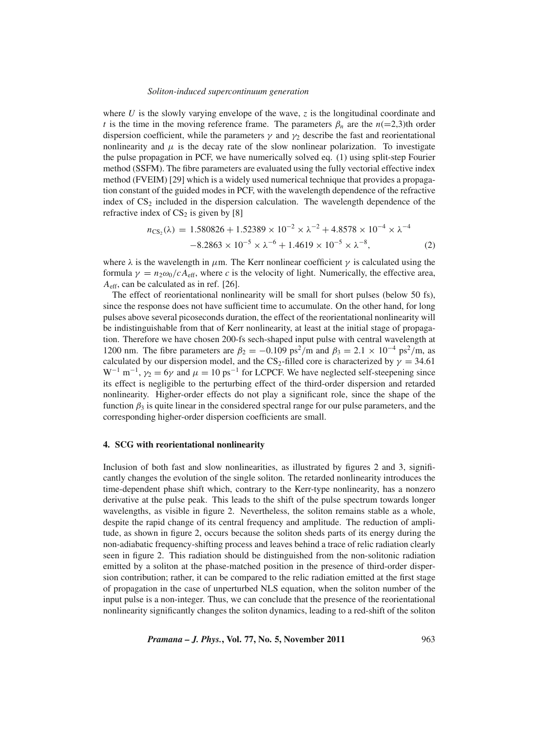where *U* is the slowly varying envelope of the wave, *z* is the longitudinal coordinate and *t* is the time in the moving reference frame. The parameters  $\beta_n$  are the *n*(=2,3)th order dispersion coefficient, while the parameters  $\gamma$  and  $\gamma_2$  describe the fast and reorientational nonlinearity and  $\mu$  is the decay rate of the slow nonlinear polarization. To investigate the pulse propagation in PCF, we have numerically solved eq. (1) using split-step Fourier method (SSFM). The fibre parameters are evaluated using the fully vectorial effective index method (FVEIM) [29] which is a widely used numerical technique that provides a propagation constant of the guided modes in PCF, with the wavelength dependence of the refractive index of  $CS<sub>2</sub>$  included in the dispersion calculation. The wavelength dependence of the refractive index of  $CS_2$  is given by [8]

$$
n_{\text{CS}_2}(\lambda) = 1.580826 + 1.52389 \times 10^{-2} \times \lambda^{-2} + 4.8578 \times 10^{-4} \times \lambda^{-4}
$$
  
-8.2863 × 10<sup>-5</sup> ×  $\lambda^{-6}$  + 1.4619 × 10<sup>-5</sup> ×  $\lambda^{-8}$ , (2)

where  $\lambda$  is the wavelength in  $\mu$ m. The Kerr nonlinear coefficient  $\gamma$  is calculated using the formula  $\gamma = n_2 \omega_0/cA_{\text{eff}}$ , where *c* is the velocity of light. Numerically, the effective area, *A*eff, can be calculated as in ref. [26].

The effect of reorientational nonlinearity will be small for short pulses (below 50 fs), since the response does not have sufficient time to accumulate. On the other hand, for long pulses above several picoseconds duration, the effect of the reorientational nonlinearity will be indistinguishable from that of Kerr nonlinearity, at least at the initial stage of propagation. Therefore we have chosen 200-fs sech-shaped input pulse with central wavelength at 1200 nm. The fibre parameters are  $\beta_2 = -0.109 \text{ ps}^2/\text{m}$  and  $\beta_3 = 2.1 \times 10^{-4} \text{ ps}^2/\text{m}$ , as calculated by our dispersion model, and the CS<sub>2</sub>-filled core is characterized by  $\gamma = 34.61$ W<sup>-1</sup> m<sup>-1</sup>,  $\gamma_2 = 6\gamma$  and  $\mu = 10 \text{ ps}^{-1}$  for LCPCF. We have neglected self-steepening since its effect is negligible to the perturbing effect of the third-order dispersion and retarded nonlinearity. Higher-order effects do not play a significant role, since the shape of the function  $β_3$  is quite linear in the considered spectral range for our pulse parameters, and the corresponding higher-order dispersion coefficients are small.

## **4. SCG with reorientational nonlinearity**

Inclusion of both fast and slow nonlinearities, as illustrated by figures 2 and 3, significantly changes the evolution of the single soliton. The retarded nonlinearity introduces the time-dependent phase shift which, contrary to the Kerr-type nonlinearity, has a nonzero derivative at the pulse peak. This leads to the shift of the pulse spectrum towards longer wavelengths, as visible in figure 2. Nevertheless, the soliton remains stable as a whole, despite the rapid change of its central frequency and amplitude. The reduction of amplitude, as shown in figure 2, occurs because the soliton sheds parts of its energy during the non-adiabatic frequency-shifting process and leaves behind a trace of relic radiation clearly seen in figure 2. This radiation should be distinguished from the non-solitonic radiation emitted by a soliton at the phase-matched position in the presence of third-order dispersion contribution; rather, it can be compared to the relic radiation emitted at the first stage of propagation in the case of unperturbed NLS equation, when the soliton number of the input pulse is a non-integer. Thus, we can conclude that the presence of the reorientational nonlinearity significantly changes the soliton dynamics, leading to a red-shift of the soliton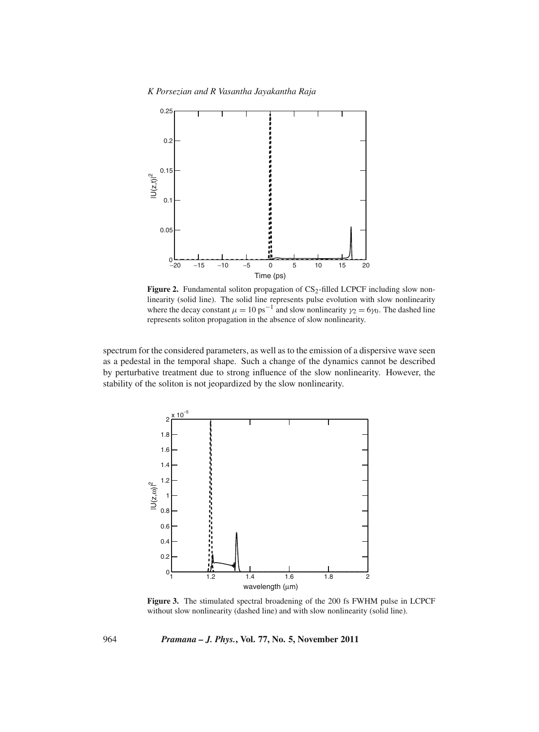

**Figure 2.** Fundamental soliton propagation of  $CS_2$ -filled LCPCF including slow nonlinearity (solid line). The solid line represents pulse evolution with slow nonlinearity where the decay constant  $\mu = 10 \text{ ps}^{-1}$  and slow nonlinearity  $\gamma_2 = 6\gamma_0$ . The dashed line represents soliton propagation in the absence of slow nonlinearity.

spectrum for the considered parameters, as well as to the emission of a dispersive wave seen as a pedestal in the temporal shape. Such a change of the dynamics cannot be described by perturbative treatment due to strong influence of the slow nonlinearity. However, the stability of the soliton is not jeopardized by the slow nonlinearity.



**Figure 3.** The stimulated spectral broadening of the 200 fs FWHM pulse in LCPCF without slow nonlinearity (dashed line) and with slow nonlinearity (solid line).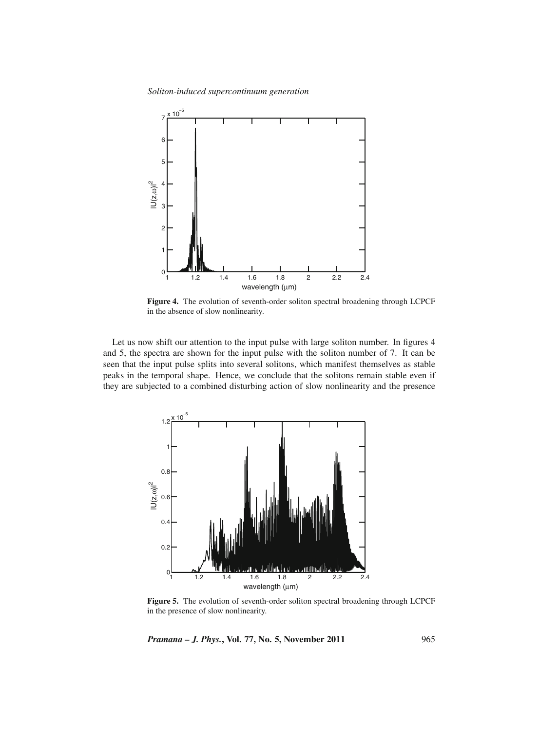*Soliton-induced supercontinuum generation*



**Figure 4.** The evolution of seventh-order soliton spectral broadening through LCPCF in the absence of slow nonlinearity.

Let us now shift our attention to the input pulse with large soliton number. In figures 4 and 5, the spectra are shown for the input pulse with the soliton number of 7. It can be seen that the input pulse splits into several solitons, which manifest themselves as stable peaks in the temporal shape. Hence, we conclude that the solitons remain stable even if they are subjected to a combined disturbing action of slow nonlinearity and the presence



**Figure 5.** The evolution of seventh-order soliton spectral broadening through LCPCF in the presence of slow nonlinearity.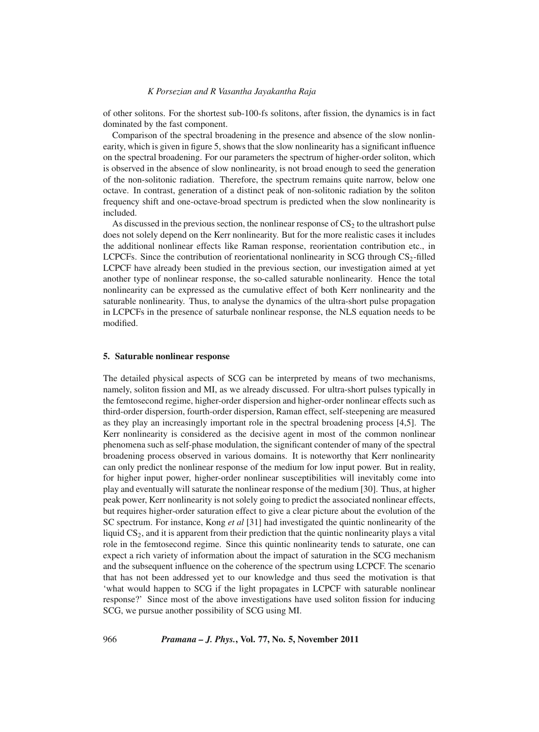of other solitons. For the shortest sub-100-fs solitons, after fission, the dynamics is in fact dominated by the fast component.

Comparison of the spectral broadening in the presence and absence of the slow nonlinearity, which is given in figure 5, shows that the slow nonlinearity has a significant influence on the spectral broadening. For our parameters the spectrum of higher-order soliton, which is observed in the absence of slow nonlinearity, is not broad enough to seed the generation of the non-solitonic radiation. Therefore, the spectrum remains quite narrow, below one octave. In contrast, generation of a distinct peak of non-solitonic radiation by the soliton frequency shift and one-octave-broad spectrum is predicted when the slow nonlinearity is included.

As discussed in the previous section, the nonlinear response of  $CS_2$  to the ultrashort pulse does not solely depend on the Kerr nonlinearity. But for the more realistic cases it includes the additional nonlinear effects like Raman response, reorientation contribution etc., in LCPCFs. Since the contribution of reorientational nonlinearity in SCG through  $CS_2$ -filled LCPCF have already been studied in the previous section, our investigation aimed at yet another type of nonlinear response, the so-called saturable nonlinearity. Hence the total nonlinearity can be expressed as the cumulative effect of both Kerr nonlinearity and the saturable nonlinearity. Thus, to analyse the dynamics of the ultra-short pulse propagation in LCPCFs in the presence of saturbale nonlinear response, the NLS equation needs to be modified.

### **5. Saturable nonlinear response**

The detailed physical aspects of SCG can be interpreted by means of two mechanisms, namely, soliton fission and MI, as we already discussed. For ultra-short pulses typically in the femtosecond regime, higher-order dispersion and higher-order nonlinear effects such as third-order dispersion, fourth-order dispersion, Raman effect, self-steepening are measured as they play an increasingly important role in the spectral broadening process [4,5]. The Kerr nonlinearity is considered as the decisive agent in most of the common nonlinear phenomena such as self-phase modulation, the significant contender of many of the spectral broadening process observed in various domains. It is noteworthy that Kerr nonlinearity can only predict the nonlinear response of the medium for low input power. But in reality, for higher input power, higher-order nonlinear susceptibilities will inevitably come into play and eventually will saturate the nonlinear response of the medium [30]. Thus, at higher peak power, Kerr nonlinearity is not solely going to predict the associated nonlinear effects, but requires higher-order saturation effect to give a clear picture about the evolution of the SC spectrum. For instance, Kong *et al* [31] had investigated the quintic nonlinearity of the liquid CS<sub>2</sub>, and it is apparent from their prediction that the quintic nonlinearity plays a vital role in the femtosecond regime. Since this quintic nonlinearity tends to saturate, one can expect a rich variety of information about the impact of saturation in the SCG mechanism and the subsequent influence on the coherence of the spectrum using LCPCF. The scenario that has not been addressed yet to our knowledge and thus seed the motivation is that 'what would happen to SCG if the light propagates in LCPCF with saturable nonlinear response?' Since most of the above investigations have used soliton fission for inducing SCG, we pursue another possibility of SCG using MI.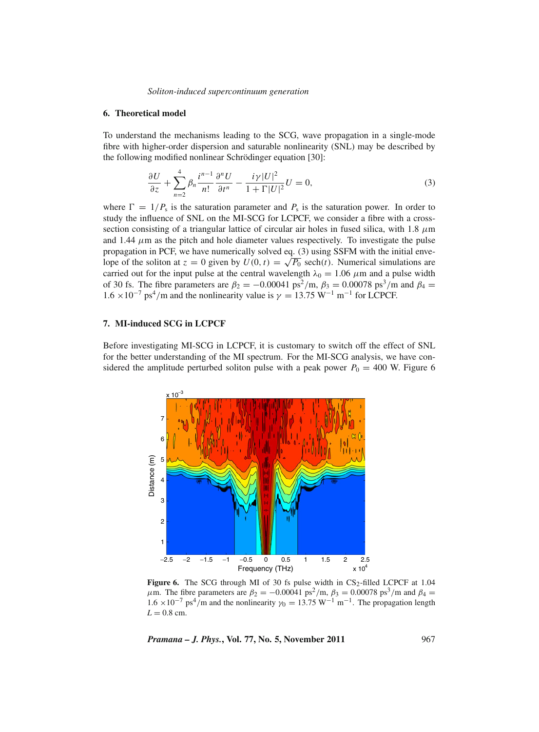## **6. Theoretical model**

To understand the mechanisms leading to the SCG, wave propagation in a single-mode fibre with higher-order dispersion and saturable nonlinearity (SNL) may be described by the following modified nonlinear Schrödinger equation [30]:

$$
\frac{\partial U}{\partial z} + \sum_{n=2}^{4} \beta_n \frac{i^{n-1}}{n!} \frac{\partial^n U}{\partial t^n} - \frac{i\gamma |U|^2}{1 + \Gamma |U|^2} U = 0,
$$
\n(3)

where  $\Gamma = 1/P_s$  is the saturation parameter and  $P_s$  is the saturation power. In order to study the influence of SNL on the MI-SCG for LCPCF, we consider a fibre with a crosssection consisting of a triangular lattice of circular air holes in fused silica, with 1.8  $\mu$ m and 1.44  $\mu$ m as the pitch and hole diameter values respectively. To investigate the pulse propagation in PCF, we have numerically solved eq. (3) using SSFM with the initial envelope of the soliton at  $z = 0$  given by  $U(0, t) = \sqrt{P_0}$  sech(*t*). Numerical simulations are carried out for the input pulse at the central wavelength  $\lambda_0 = 1.06 \mu m$  and a pulse width of 30 fs. The fibre parameters are  $\beta_2 = -0.00041 \text{ ps}^2/\text{m}$ ,  $\beta_3 = 0.00078 \text{ ps}^3/\text{m}$  and  $\beta_4 =$  $1.6 \times 10^{-7}$  ps<sup>4</sup>/m and the nonlinearity value is  $\gamma = 13.75$  W<sup>-1</sup> m<sup>-1</sup> for LCPCF.

### **7. MI-induced SCG in LCPCF**

Before investigating MI-SCG in LCPCF, it is customary to switch off the effect of SNL for the better understanding of the MI spectrum. For the MI-SCG analysis, we have considered the amplitude perturbed soliton pulse with a peak power  $P_0 = 400$  W. Figure 6



**Figure 6.** The SCG through MI of 30 fs pulse width in  $CS_2$ -filled LCPCF at 1.04 μm. The fibre parameters are  $β_2 = -0.00041$  ps<sup>2</sup>/m,  $β_3 = 0.00078$  ps<sup>3</sup>/m and  $β_4 =$  $1.6 \times 10^{-7}$  ps<sup>4</sup>/m and the nonlinearity  $\gamma_0 = 13.75 \text{ W}^{-1} \text{ m}^{-1}$ . The propagation length  $L = 0.8$  cm.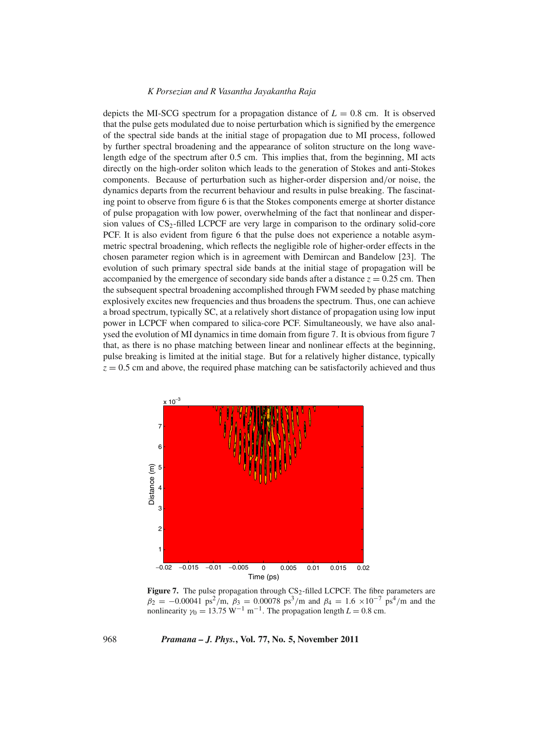depicts the MI-SCG spectrum for a propagation distance of  $L = 0.8$  cm. It is observed that the pulse gets modulated due to noise perturbation which is signified by the emergence of the spectral side bands at the initial stage of propagation due to MI process, followed by further spectral broadening and the appearance of soliton structure on the long wavelength edge of the spectrum after 0.5 cm. This implies that, from the beginning, MI acts directly on the high-order soliton which leads to the generation of Stokes and anti-Stokes components. Because of perturbation such as higher-order dispersion and/or noise, the dynamics departs from the recurrent behaviour and results in pulse breaking. The fascinating point to observe from figure 6 is that the Stokes components emerge at shorter distance of pulse propagation with low power, overwhelming of the fact that nonlinear and dispersion values of  $CS_2$ -filled LCPCF are very large in comparison to the ordinary solid-core PCF. It is also evident from figure 6 that the pulse does not experience a notable asymmetric spectral broadening, which reflects the negligible role of higher-order effects in the chosen parameter region which is in agreement with Demircan and Bandelow [23]. The evolution of such primary spectral side bands at the initial stage of propagation will be accompanied by the emergence of secondary side bands after a distance  $z = 0.25$  cm. Then the subsequent spectral broadening accomplished through FWM seeded by phase matching explosively excites new frequencies and thus broadens the spectrum. Thus, one can achieve a broad spectrum, typically SC, at a relatively short distance of propagation using low input power in LCPCF when compared to silica-core PCF. Simultaneously, we have also analysed the evolution of MI dynamics in time domain from figure 7. It is obvious from figure 7 that, as there is no phase matching between linear and nonlinear effects at the beginning, pulse breaking is limited at the initial stage. But for a relatively higher distance, typically  $z = 0.5$  cm and above, the required phase matching can be satisfactorily achieved and thus



Figure 7. The pulse propagation through CS<sub>2</sub>-filled LCPCF. The fibre parameters are  $\beta_2 = -0.00041 \text{ ps}^2/\text{m}$ ,  $\beta_3 = 0.00078 \text{ ps}^3/\text{m}$  and  $\beta_4 = 1.6 \times 10^{-7} \text{ ps}^4/\text{m}$  and the nonlinearity  $\gamma_0 = 13.75 \text{ W}^{-1} \text{ m}^{-1}$ . The propagation length  $L = 0.8 \text{ cm}$ .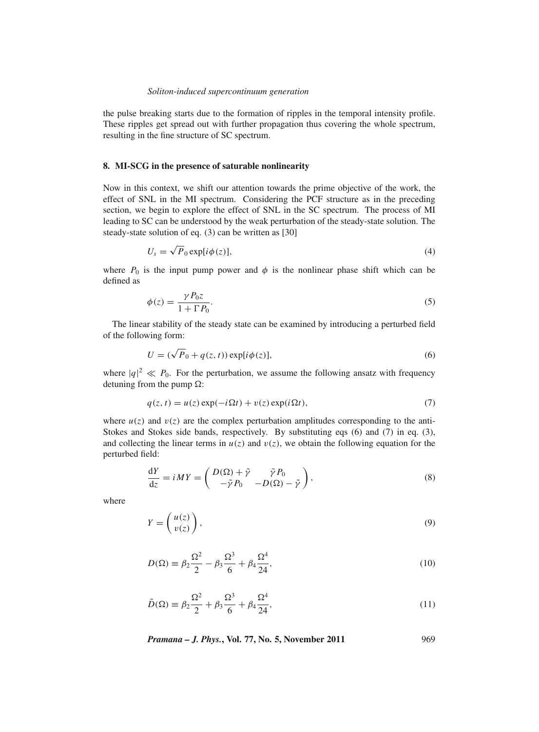the pulse breaking starts due to the formation of ripples in the temporal intensity profile. These ripples get spread out with further propagation thus covering the whole spectrum, resulting in the fine structure of SC spectrum.

## **8. MI-SCG in the presence of saturable nonlinearity**

Now in this context, we shift our attention towards the prime objective of the work, the effect of SNL in the MI spectrum. Considering the PCF structure as in the preceding section, we begin to explore the effect of SNL in the SC spectrum. The process of MI leading to SC can be understood by the weak perturbation of the steady-state solution. The steady-state solution of eq. (3) can be written as [30]

$$
U_s = \sqrt{P_0} \exp[i\phi(z)],\tag{4}
$$

where  $P_0$  is the input pump power and  $\phi$  is the nonlinear phase shift which can be defined as

$$
\phi(z) = \frac{\gamma P_0 z}{1 + \Gamma P_0}.\tag{5}
$$

The linear stability of the steady state can be examined by introducing a perturbed field of the following form:

$$
U = (\sqrt{P}_0 + q(z, t)) \exp[i\phi(z)], \qquad (6)
$$

where  $|q|^2 \ll P_0$ . For the perturbation, we assume the following ansatz with frequency detuning from the pump  $\Omega$ :

$$
q(z, t) = u(z) \exp(-i\Omega t) + v(z) \exp(i\Omega t),
$$
\n(7)

where  $u(z)$  and  $v(z)$  are the complex perturbation amplitudes corresponding to the anti-Stokes and Stokes side bands, respectively. By substituting eqs (6) and (7) in eq. (3), and collecting the linear terms in  $u(z)$  and  $v(z)$ , we obtain the following equation for the perturbed field:

$$
\frac{dY}{dz} = iMY = \begin{pmatrix} D(\Omega) + \tilde{\gamma} & \tilde{\gamma}P_0 \\ -\tilde{\gamma}P_0 & -D(\Omega) - \tilde{\gamma} \end{pmatrix},\tag{8}
$$

where

$$
Y = \begin{pmatrix} u(z) \\ v(z) \end{pmatrix},\tag{9}
$$

$$
D(\Omega) \equiv \beta_2 \frac{\Omega^2}{2} - \beta_3 \frac{\Omega^3}{6} + \beta_4 \frac{\Omega^4}{24},\tag{10}
$$

$$
\tilde{D}(\Omega) \equiv \beta_2 \frac{\Omega^2}{2} + \beta_3 \frac{\Omega^3}{6} + \beta_4 \frac{\Omega^4}{24},\tag{11}
$$

*Pramana – J. Phys.***, Vol. 77, No. 5, November 2011** 969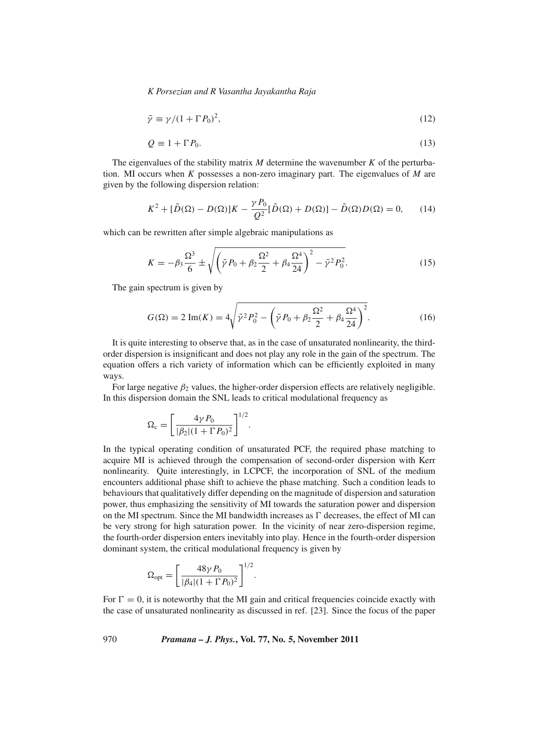$$
\tilde{\gamma} \equiv \gamma/(1 + \Gamma P_0)^2,\tag{12}
$$

$$
Q \equiv 1 + \Gamma P_0. \tag{13}
$$

The eigenvalues of the stability matrix *M* determine the wavenumber *K* of the perturbation. MI occurs when *K* possesses a non-zero imaginary part. The eigenvalues of *M* are given by the following dispersion relation:

$$
K^{2} + [\tilde{D}(\Omega) - D(\Omega)]K - \frac{\gamma P_{0}}{Q^{2}}[\tilde{D}(\Omega) + D(\Omega)] - \tilde{D}(\Omega)D(\Omega) = 0, \qquad (14)
$$

which can be rewritten after simple algebraic manipulations as

$$
K = -\beta_3 \frac{\Omega^3}{6} \pm \sqrt{\left(\tilde{\gamma} P_0 + \beta_2 \frac{\Omega^2}{2} + \beta_4 \frac{\Omega^4}{24}\right)^2 - \tilde{\gamma}^2 P_0^2}.
$$
 (15)

The gain spectrum is given by

$$
G(\Omega) = 2 \operatorname{Im}(K) = 4\sqrt{\tilde{\gamma}^2 P_0^2 - \left(\tilde{\gamma} P_0 + \beta_2 \frac{\Omega^2}{2} + \beta_4 \frac{\Omega^4}{24}\right)^2}.
$$
 (16)

It is quite interesting to observe that, as in the case of unsaturated nonlinearity, the thirdorder dispersion is insignificant and does not play any role in the gain of the spectrum. The equation offers a rich variety of information which can be efficiently exploited in many ways.

For large negative  $\beta_2$  values, the higher-order dispersion effects are relatively negligible. In this dispersion domain the SNL leads to critical modulational frequency as

$$
\Omega_{\rm c} = \left[\frac{4\gamma P_0}{|\beta_2|(1+\Gamma P_0)^2}\right]^{1/2}.
$$

In the typical operating condition of unsaturated PCF, the required phase matching to acquire MI is achieved through the compensation of second-order dispersion with Kerr nonlinearity. Quite interestingly, in LCPCF, the incorporation of SNL of the medium encounters additional phase shift to achieve the phase matching. Such a condition leads to behaviours that qualitatively differ depending on the magnitude of dispersion and saturation power, thus emphasizing the sensitivity of MI towards the saturation power and dispersion on the MI spectrum. Since the MI bandwidth increases as  $\Gamma$  decreases, the effect of MI can be very strong for high saturation power. In the vicinity of near zero-dispersion regime, the fourth-order dispersion enters inevitably into play. Hence in the fourth-order dispersion dominant system, the critical modulational frequency is given by

$$
\Omega_{\rm opt} = \left[ \frac{48\gamma P_0}{|\beta_4|(1+\Gamma P_0)^2} \right]^{1/2}.
$$

For  $\Gamma = 0$ , it is noteworthy that the MI gain and critical frequencies coincide exactly with the case of unsaturated nonlinearity as discussed in ref. [23]. Since the focus of the paper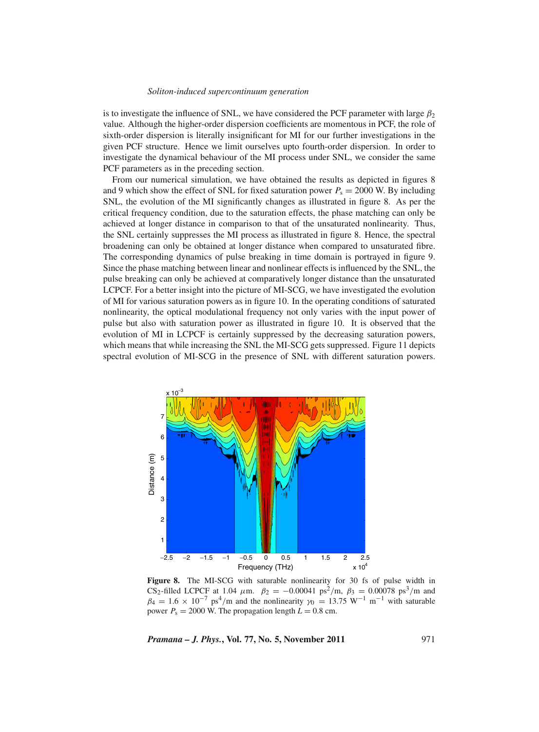is to investigate the influence of SNL, we have considered the PCF parameter with large  $\beta_2$ value. Although the higher-order dispersion coefficients are momentous in PCF, the role of sixth-order dispersion is literally insignificant for MI for our further investigations in the given PCF structure. Hence we limit ourselves upto fourth-order dispersion. In order to investigate the dynamical behaviour of the MI process under SNL, we consider the same PCF parameters as in the preceding section.

From our numerical simulation, we have obtained the results as depicted in figures 8 and 9 which show the effect of SNL for fixed saturation power  $P_s = 2000$  W. By including SNL, the evolution of the MI significantly changes as illustrated in figure 8. As per the critical frequency condition, due to the saturation effects, the phase matching can only be achieved at longer distance in comparison to that of the unsaturated nonlinearity. Thus, the SNL certainly suppresses the MI process as illustrated in figure 8. Hence, the spectral broadening can only be obtained at longer distance when compared to unsaturated fibre. The corresponding dynamics of pulse breaking in time domain is portrayed in figure 9. Since the phase matching between linear and nonlinear effects is influenced by the SNL, the pulse breaking can only be achieved at comparatively longer distance than the unsaturated LCPCF. For a better insight into the picture of MI-SCG, we have investigated the evolution of MI for various saturation powers as in figure 10. In the operating conditions of saturated nonlinearity, the optical modulational frequency not only varies with the input power of pulse but also with saturation power as illustrated in figure 10. It is observed that the evolution of MI in LCPCF is certainly suppressed by the decreasing saturation powers, which means that while increasing the SNL the MI-SCG gets suppressed. Figure 11 depicts spectral evolution of MI-SCG in the presence of SNL with different saturation powers.



**Figure 8.** The MI-SCG with saturable nonlinearity for 30 fs of pulse width in CS<sub>2</sub>-filled LCPCF at 1.04  $\mu$ m.  $\beta_2 = -0.00041$  ps<sup>2</sup>/m,  $\beta_3 = 0.00078$  ps<sup>3</sup>/m and  $\beta_4 = 1.6 \times 10^{-7} \text{ ps}^4/\text{m}$  and the nonlinearity  $\gamma_0 = 13.75 \text{ W}^{-1} \text{ m}^{-1}$  with saturable power  $P_s = 2000$  W. The propagation length  $L = 0.8$  cm.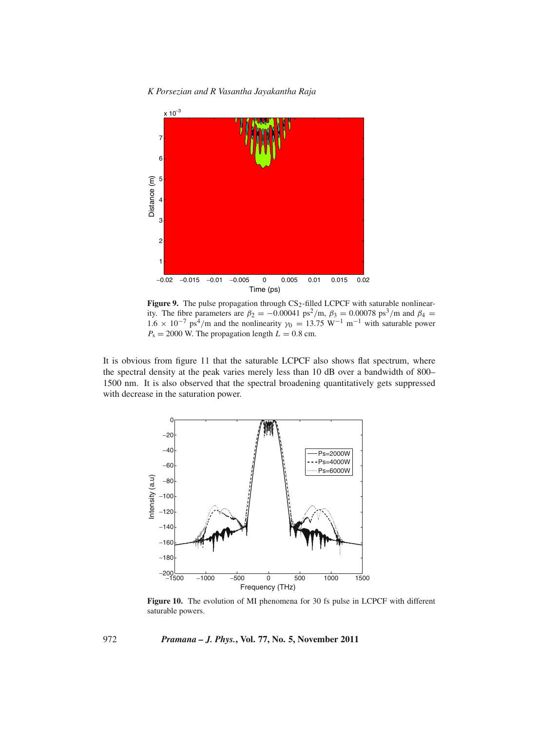*K Porsezian and R Vasantha Jayakantha Raja*



Figure 9. The pulse propagation through CS<sub>2</sub>-filled LCPCF with saturable nonlinearity. The fibre parameters are  $\beta_2 = -0.00041 \text{ ps}^2/\text{m}$ ,  $\beta_3 = 0.00078 \text{ ps}^3/\text{m}$  and  $\beta_4 =$  $1.6 \times 10^{-7}$  ps<sup>4</sup>/m and the nonlinearity  $\gamma_0 = 13.75$  W<sup>-1</sup> m<sup>-1</sup> with saturable power  $P_s = 2000$  W. The propagation length  $L = 0.8$  cm.

It is obvious from figure 11 that the saturable LCPCF also shows flat spectrum, where the spectral density at the peak varies merely less than 10 dB over a bandwidth of 800– 1500 nm. It is also observed that the spectral broadening quantitatively gets suppressed with decrease in the saturation power.



**Figure 10.** The evolution of MI phenomena for 30 fs pulse in LCPCF with different saturable powers.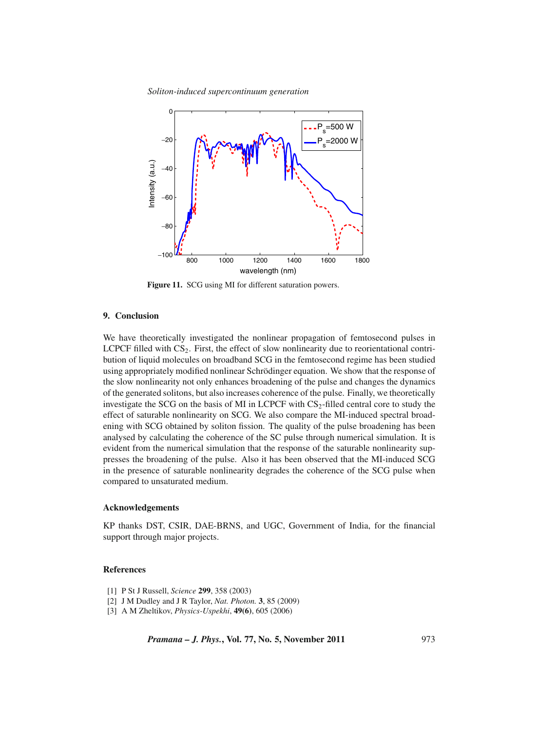

**Figure 11.** SCG using MI for different saturation powers.

# **9. Conclusion**

We have theoretically investigated the nonlinear propagation of femtosecond pulses in LCPCF filled with  $CS_2$ . First, the effect of slow nonlinearity due to reorientational contribution of liquid molecules on broadband SCG in the femtosecond regime has been studied using appropriately modified nonlinear Schrödinger equation. We show that the response of the slow nonlinearity not only enhances broadening of the pulse and changes the dynamics of the generated solitons, but also increases coherence of the pulse. Finally, we theoretically investigate the SCG on the basis of MI in LCPCF with  $CS_2$ -filled central core to study the effect of saturable nonlinearity on SCG. We also compare the MI-induced spectral broadening with SCG obtained by soliton fission. The quality of the pulse broadening has been analysed by calculating the coherence of the SC pulse through numerical simulation. It is evident from the numerical simulation that the response of the saturable nonlinearity suppresses the broadening of the pulse. Also it has been observed that the MI-induced SCG in the presence of saturable nonlinearity degrades the coherence of the SCG pulse when compared to unsaturated medium.

### **Acknowledgements**

KP thanks DST, CSIR, DAE-BRNS, and UGC, Government of India, for the financial support through major projects.

## **References**

- [1] P St J Russell, *Science* **299**, 358 (2003)
- [2] J M Dudley and J R Taylor, *Nat. Photon.* **3**, 85 (2009)
- [3] A M Zheltikov, *Physics-Uspekhi*, **49(6)**, 605 (2006)